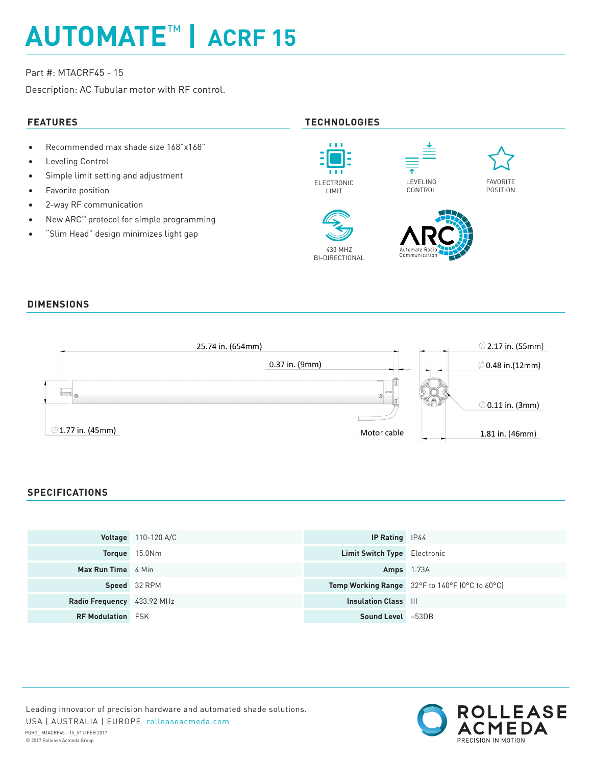# **AUTOMATE**™ **| ACRF 15**

# Part #: MTACRF45 - 15

Description: AC Tubular motor with RF control.

- Recommended max shade size 168"x168"
- Leveling Control
- Simple limit setting and adjustment
- Favorite position
- 2-way RF communication
- New ARC™ protocol for simple programming
- "Slim Head" design minimizes light gap

# **FEATURES TECHNOLOGIES**



### **DIMENSIONS**



## **SPECIFICATIONS**

|                            | <b>Voltage</b> 110-120 A/C | <b>IP Rating</b> IP44               |                                                |
|----------------------------|----------------------------|-------------------------------------|------------------------------------------------|
|                            | Torque 15.0Nm              | <b>Limit Switch Type</b> Electronic |                                                |
| <b>Max Run Time</b> 4 Min  |                            | <b>Amps</b> 1.73A                   |                                                |
|                            | Speed 32 RPM               |                                     | Temp Working Range 32°F to 140°F (0°C to 60°C) |
| Radio Frequency 433.92 MHz |                            | <b>Insulation Class III</b>         |                                                |
| <b>RF Modulation</b> FSK   |                            | Sound Level ~53DB                   |                                                |